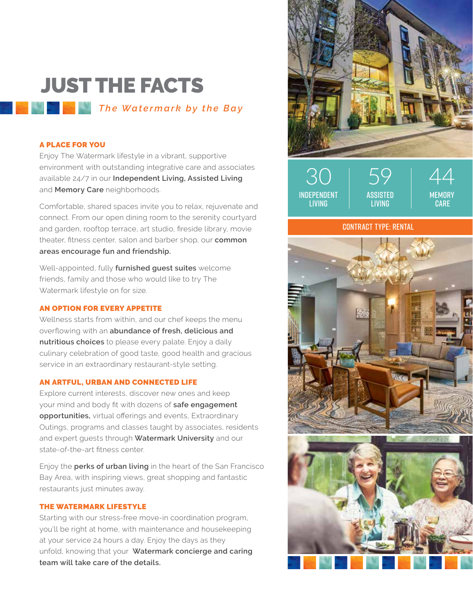## JUST THE FACTS *The Watermark by the Bay*

### A PLACE FOR YOU

Enjoy The Watermark lifestyle in a vibrant, supportive environment with outstanding integrative care and associates available 24/7 in our **Independent Living, Assisted Living** and **Memory Care** neighborhoods.

Comfortable, shared spaces invite you to relax, rejuvenate and connect. From our open dining room to the serenity courtyard and garden, rooftop terrace, art studio, fireside library, movie theater, fitness center, salon and barber shop, our **common areas encourage fun and friendship.**

Well-appointed, fully **furnished guest suites** welcome friends, family and those who would like to try The Watermark lifestyle on for size.

### AN OPTION FOR EVERY APPETITE

Wellness starts from within, and our chef keeps the menu overflowing with an **abundance of fresh, delicious and nutritious choices** to please every palate. Enjoy a daily culinary celebration of good taste, good health and gracious service in an extraordinary restaurant-style setting.

### AN ARTFUL, URBAN AND CONNECTED LIFE

Explore current interests, discover new ones and keep your mind and body fit with dozens of **safe engagement opportunities,** virtual offerings and events, Extraordinary Outings, programs and classes taught by associates, residents and expert guests through **Watermark University** and our state-of-the-art fitness center.

Enjoy the **perks of urban living** in the heart of the San Francisco Bay Area, with inspiring views, great shopping and fantastic restaurants just minutes away.

### THE WATERMARK LIFESTYLE

Starting with our stress-free move-in coordination program, you'll be right at home, with maintenance and housekeeping at your service 24 hours a day. Enjoy the days as they unfold, knowing that your **Watermark concierge and caring team will take care of the details.**